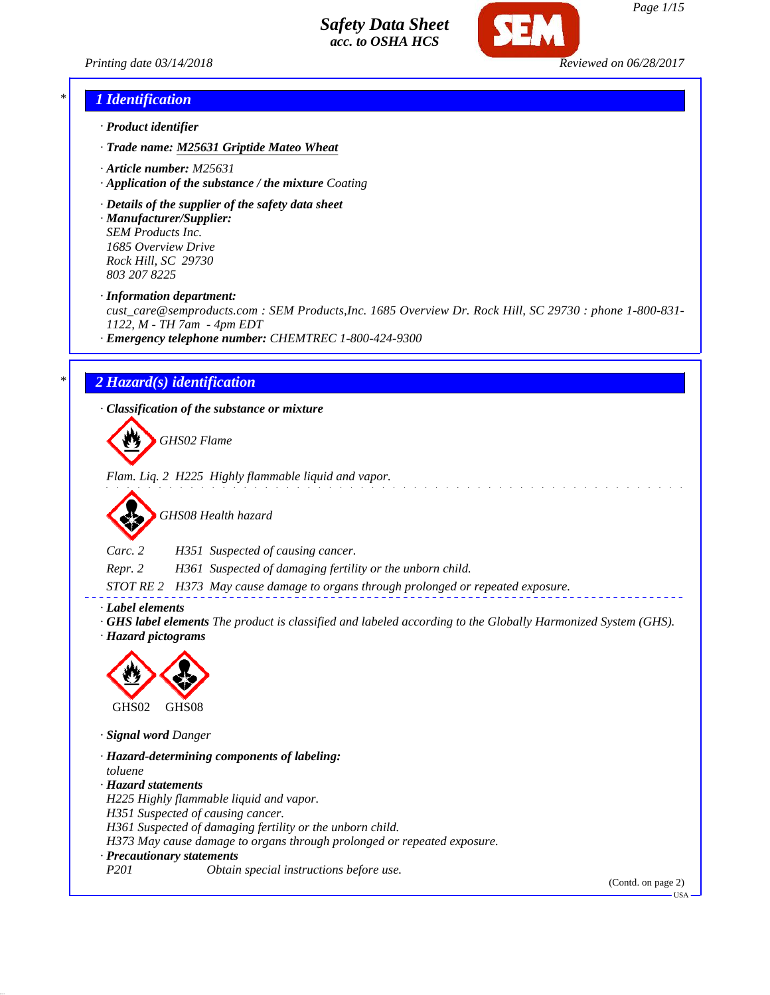



### *\* 1 Identification*

- *· Product identifier*
- *· Trade name: M25631 Griptide Mateo Wheat*
- *· Article number: M25631*
- *· Application of the substance / the mixture Coating*
- *· Details of the supplier of the safety data sheet*

*· Manufacturer/Supplier: SEM Products Inc. 1685 Overview Drive Rock Hill, SC 29730 803 207 8225*

*· Information department:*

*cust\_care@semproducts.com : SEM Products,Inc. 1685 Overview Dr. Rock Hill, SC 29730 : phone 1-800-831- 1122, M - TH 7am - 4pm EDT*

*· Emergency telephone number: CHEMTREC 1-800-424-9300*

## *\* 2 Hazard(s) identification*

*· Classification of the substance or mixture*

*GHS02 Flame*

*Flam. Liq. 2 H225 Highly flammable liquid and vapor.*



*Carc. 2 H351 Suspected of causing cancer.*

*Repr. 2 H361 Suspected of damaging fertility or the unborn child.*

*STOT RE 2 H373 May cause damage to organs through prolonged or repeated exposure.*

*· Label elements*

*· GHS label elements The product is classified and labeled according to the Globally Harmonized System (GHS).*

*· Hazard pictograms*



*· Signal word Danger*

*· Hazard-determining components of labeling: toluene · Hazard statements H225 Highly flammable liquid and vapor. H351 Suspected of causing cancer. H361 Suspected of damaging fertility or the unborn child. H373 May cause damage to organs through prolonged or repeated exposure. · Precautionary statements P201 Obtain special instructions before use.*

(Contd. on page 2)

USA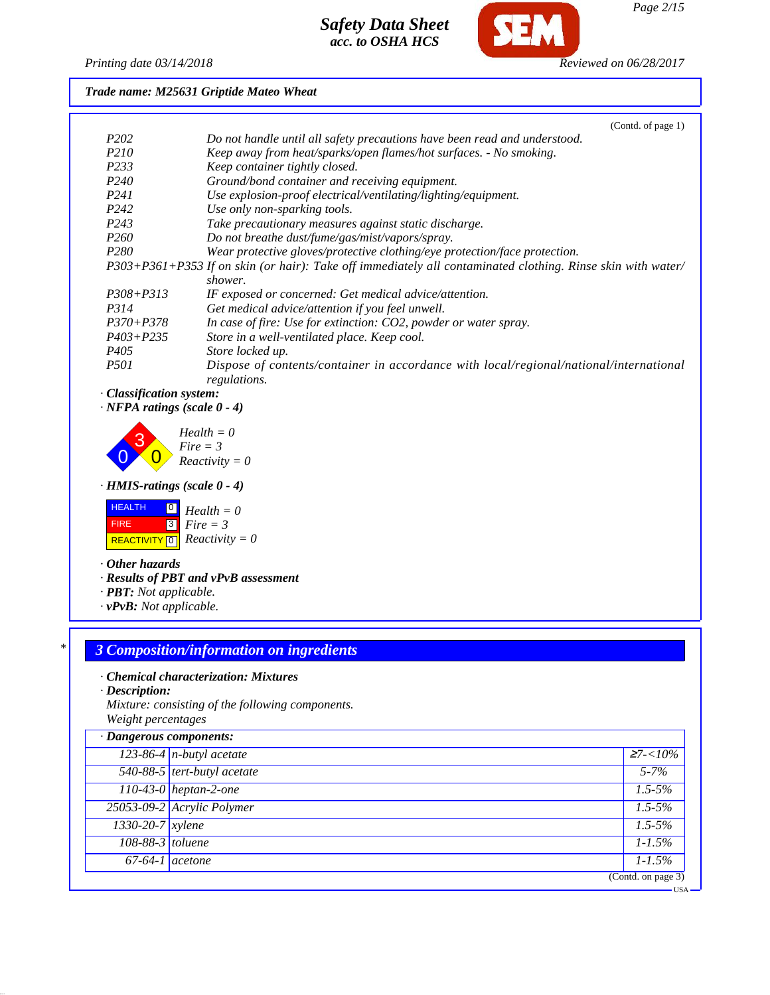

*Page 2/15*

### *Printing date 03/14/2018 Reviewed on 06/28/2017*

*Trade name: M25631 Griptide Mateo Wheat*

|                  | (Contd. of page 1)                                                                                          |
|------------------|-------------------------------------------------------------------------------------------------------------|
| P <sub>202</sub> | Do not handle until all safety precautions have been read and understood.                                   |
| <i>P210</i>      | Keep away from heat/sparks/open flames/hot surfaces. - No smoking.                                          |
| P233             | Keep container tightly closed.                                                                              |
| P <sub>240</sub> | Ground/bond container and receiving equipment.                                                              |
| P <sub>241</sub> | Use explosion-proof electrical/ventilating/lighting/equipment.                                              |
| P <sub>242</sub> | Use only non-sparking tools.                                                                                |
| P <sub>243</sub> | Take precautionary measures against static discharge.                                                       |
| P <sub>260</sub> | Do not breathe dust/fume/gas/mist/vapors/spray.                                                             |
| P <sub>280</sub> | Wear protective gloves/protective clothing/eye protection/face protection.                                  |
|                  | P303+P361+P353 If on skin (or hair): Take off immediately all contaminated clothing. Rinse skin with water/ |
|                  | shower.                                                                                                     |
| $P308 + P313$    | IF exposed or concerned: Get medical advice/attention.                                                      |
| P314             | Get medical advice/attention if you feel unwell.                                                            |
| $P370 + P378$    | In case of fire: Use for extinction: CO2, powder or water spray.                                            |
| $P403 + P235$    | Store in a well-ventilated place. Keep cool.                                                                |
| P <sub>405</sub> | Store locked up.                                                                                            |
| <i>P501</i>      | Dispose of contents/container in accordance with local/regional/national/international<br>regulations.      |

## *· Classification system:*

*· NFPA ratings (scale 0 - 4)*



*· HMIS-ratings (scale 0 - 4)*



*· Other hazards*

*· Results of PBT and vPvB assessment*

- *· PBT: Not applicable.*
- *· vPvB: Not applicable.*

# *\* 3 Composition/information on ingredients*

### *· Chemical characterization: Mixtures*

*· Description:*

*Mixture: consisting of the following components. Weight percentages*

| · Dangerous components: |                             |                    |
|-------------------------|-----------------------------|--------------------|
|                         | $123-86-4$ n-butyl acetate  | $27 - 10\%$        |
|                         | 540-88-5 tert-butyl acetate | $5 - 7\%$          |
|                         | 110-43-0 heptan-2-one       | $1.5 - 5\%$        |
|                         | 25053-09-2 Acrylic Polymer  | $1.5 - 5\%$        |
| 1330-20-7 xylene        |                             | $1.5 - 5\%$        |
| 108-88-3 toluene        |                             | $1 - 1.5\%$        |
|                         | $67-64-1$ acetone           | $1 - 1.5\%$        |
|                         |                             | (Contd. on page 3) |
|                         |                             | •USA               |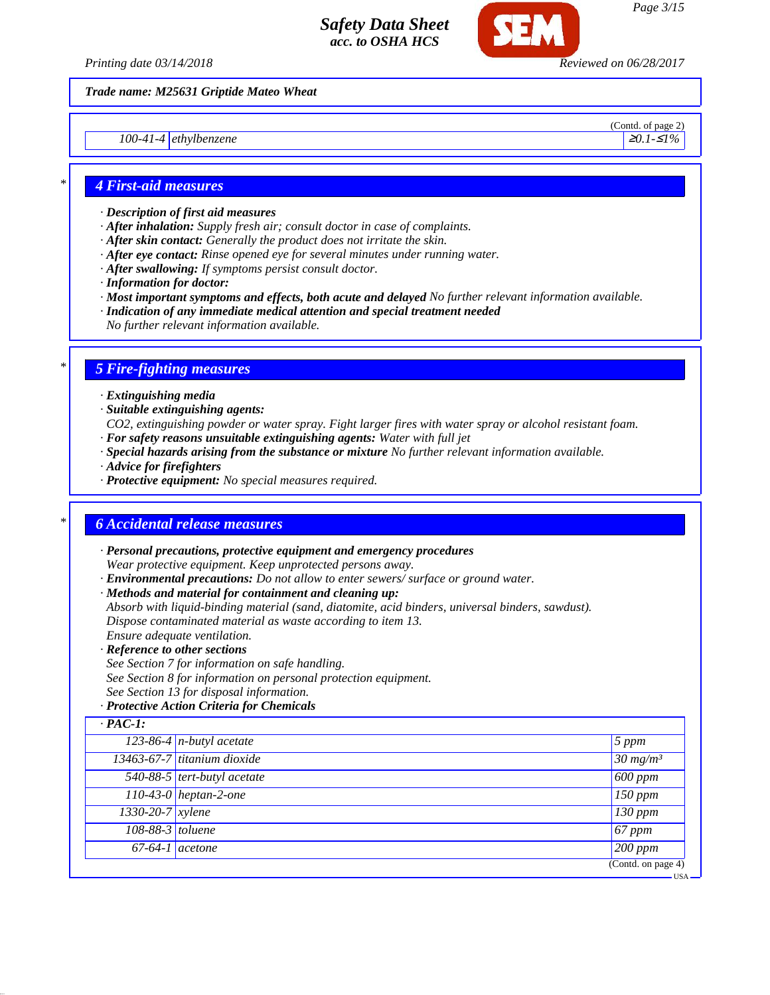

*Trade name: M25631 Griptide Mateo Wheat*

*100-41-4* ethylbenzene **≥***0.1-≤1%* **≥***0.1-≤1%* 

(Contd. of page 2)

### *\* 4 First-aid measures*

- *· Description of first aid measures*
- *· After inhalation: Supply fresh air; consult doctor in case of complaints.*
- *· After skin contact: Generally the product does not irritate the skin.*
- *· After eye contact: Rinse opened eye for several minutes under running water.*
- *· After swallowing: If symptoms persist consult doctor.*
- *· Information for doctor:*
- *· Most important symptoms and effects, both acute and delayed No further relevant information available.*
- *· Indication of any immediate medical attention and special treatment needed*
- *No further relevant information available.*

## *\* 5 Fire-fighting measures*

- *· Extinguishing media*
- *· Suitable extinguishing agents:*
- *CO2, extinguishing powder or water spray. Fight larger fires with water spray or alcohol resistant foam.*
- *· For safety reasons unsuitable extinguishing agents: Water with full jet*
- *· Special hazards arising from the substance or mixture No further relevant information available.*
- *· Advice for firefighters*
- *· Protective equipment: No special measures required.*

### *\* 6 Accidental release measures*

- *· Personal precautions, protective equipment and emergency procedures Wear protective equipment. Keep unprotected persons away.*
- *· Environmental precautions: Do not allow to enter sewers/ surface or ground water.*
- *· Methods and material for containment and cleaning up:*
- *Absorb with liquid-binding material (sand, diatomite, acid binders, universal binders, sawdust). Dispose contaminated material as waste according to item 13.*
- *Ensure adequate ventilation.*
- *· Reference to other sections*
- *See Section 7 for information on safe handling.*
- *See Section 8 for information on personal protection equipment.*
- *See Section 13 for disposal information.*

### *· Protective Action Criteria for Chemicals*

| 5 ppm               |
|---------------------|
| $30 \frac{mg}{m^3}$ |
| $\vert 600$ ppm     |
| $\sqrt{150}$ ppm    |
| $\sqrt{130}$ ppm    |
| $67$ ppm            |
| $200$ ppm           |
|                     |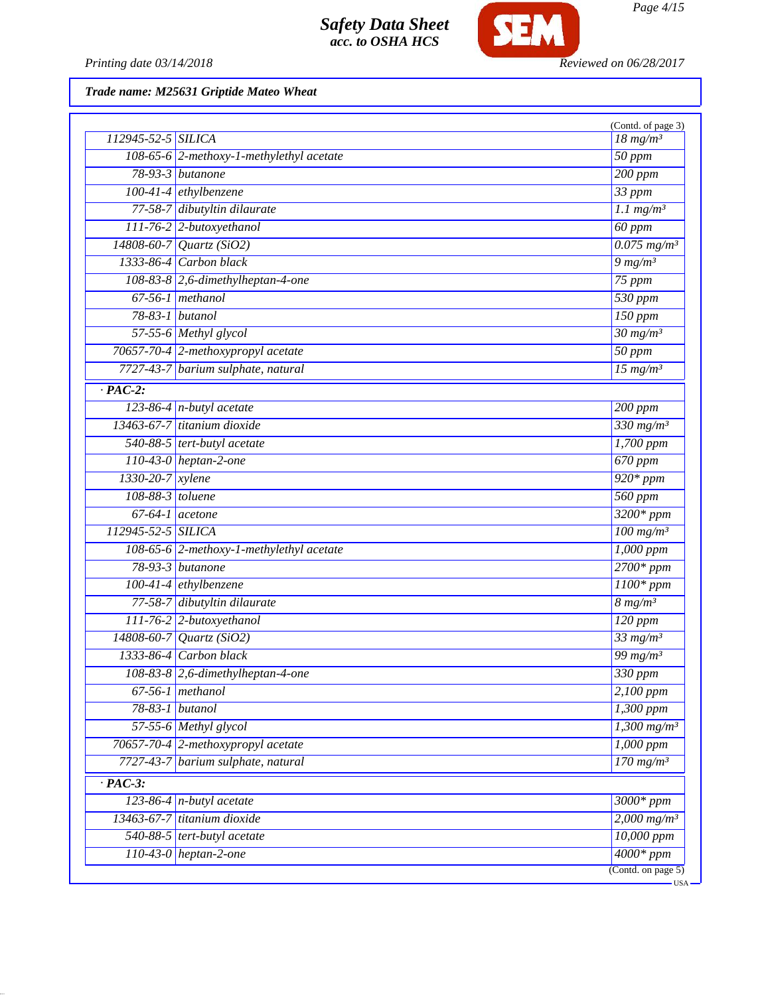

Printing date 03/14/2018 **Reviewed on 06/28/2017** 

| 112945-52-5 SILICA                    |                                          | (Contd. of page 3)<br>$18 \ mg/m^3$     |
|---------------------------------------|------------------------------------------|-----------------------------------------|
|                                       | 108-65-6 2-methoxy-1-methylethyl acetate | $50$ ppm                                |
|                                       | 78-93-3 <i>butanone</i>                  | $\overline{200\ ppm}$                   |
| $100-41-4$ ethylbenzene               |                                          | 33 ppm                                  |
|                                       | 77-58-7 dibutyltin dilaurate             | $1.1$ mg/m <sup>3</sup>                 |
|                                       | 111-76-2 2-butoxyethanol                 | 60 ppm                                  |
|                                       | 14808-60-7 Quartz (SiO2)                 | $0.075$ mg/m <sup>3</sup>               |
|                                       | 1333-86-4 Carbon black                   | $9 \frac{mg}{m^3}$                      |
|                                       | 108-83-8 2,6-dimethylheptan-4-one        | $75$ ppm                                |
|                                       | $67-56-1$ methanol                       | 530 ppm                                 |
| 78-83-1 butanol                       |                                          | $150$ ppm                               |
|                                       | 57-55-6 Methyl glycol                    | $\frac{30 \text{ mg}}{m^3}$             |
|                                       | 70657-70-4 2-methoxypropyl acetate       | $50$ ppm                                |
|                                       | 7727-43-7 barium sulphate, natural       | $15$ mg/m <sup>3</sup>                  |
| $\cdot$ PAC-2:                        |                                          |                                         |
|                                       | $123-86-4$ n-butyl acetate               | $200$ ppm                               |
|                                       | 13463-67-7 titanium dioxide              | 330 mg/m <sup>3</sup>                   |
|                                       | 540-88-5 tert-butyl acetate              | 1,700 ppm                               |
|                                       | $110-43-0$ heptan-2-one                  | 670 ppm                                 |
| 1330-20-7 xylene                      |                                          | $920*ppm$                               |
|                                       |                                          | 560 ppm                                 |
| 108-88-3 toluene<br>$67-64-1$ acetone |                                          | $3200*ppm$                              |
| 112945-52-5 SILICA                    |                                          | $100$ mg/m <sup>3</sup>                 |
|                                       | 108-65-6 2-methoxy-1-methylethyl acetate | $1,000$ ppm                             |
|                                       | 78-93-3 butanone                         | $2700*ppm$                              |
|                                       |                                          |                                         |
|                                       | $100-41-4$ ethylbenzene                  | $1100*$ ppm                             |
|                                       | 77-58-7 dibutyltin dilaurate             | $8 \overline{\mathrm{mg}}/\mathrm{m}^3$ |
|                                       | 111-76-2 2-butoxyethanol                 | $\overline{120~ppm}$                    |
|                                       | $14808 - 60 - 7$ Quartz (SiO2)           | $33$ mg/m <sup>3</sup>                  |
|                                       | 1333-86-4 Carbon black                   | $\frac{99 \text{ mg}}{m}$               |
|                                       | 108-83-8 2,6-dimethylheptan-4-one        | 330 ppm                                 |
|                                       | $67-56-1$ methanol                       | 2,100 ppm                               |
| 78-83-1 butanol                       |                                          | $1,300$ ppm                             |
|                                       | 57-55-6 Methyl glycol                    | $1,300$ mg/m <sup>3</sup>               |
|                                       | 70657-70-4 2-methoxypropyl acetate       | $1,000$ ppm                             |
|                                       | 7727-43-7 barium sulphate, natural       | $170$ mg/m <sup>3</sup>                 |
| $\cdot$ PAC-3:                        |                                          |                                         |
|                                       | 123-86-4 $n$ -butyl acetate              | 3000* ppm                               |
|                                       | 13463-67-7 titanium dioxide              | $2,000$ mg/m <sup>3</sup>               |
|                                       | 540-88-5 tert-butyl acetate              | 10,000 ppm                              |
|                                       | $110-43-0$ heptan-2-one                  | $4000*ppm$                              |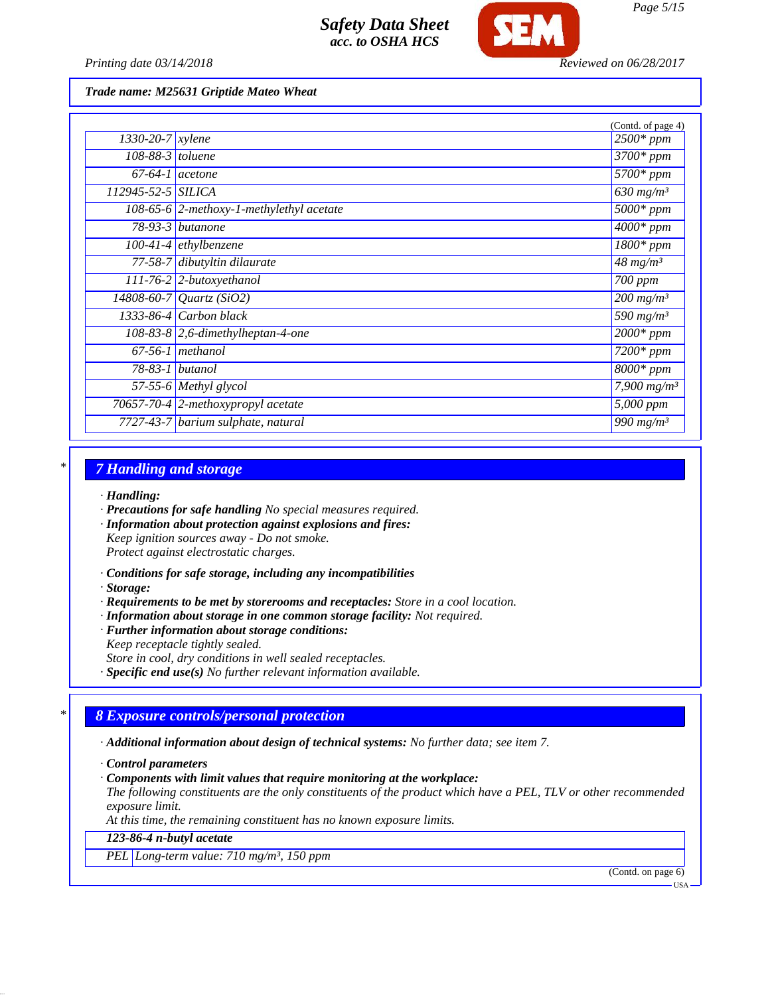

*Printing date 03/14/2018 Reviewed on 06/28/2017*

*Trade name: M25631 Griptide Mateo Wheat*

|                               |                                                    | (Contd. of page 4)                 |
|-------------------------------|----------------------------------------------------|------------------------------------|
| $1330 - 20 - 7$ <i>xylene</i> |                                                    | $\sqrt{2500}$ * ppm                |
| $108-88-3$ toluene            |                                                    | $\overline{3700}$ * ppm            |
|                               | $67-64-1$ acetone                                  | $\overline{5700}$ * ppm            |
| 112945-52-5 SILICA            |                                                    | $630$ mg/m <sup>3</sup>            |
|                               | 108-65-6 $\sqrt{2}$ -methoxy-1-methylethyl acetate | $\overline{5000}$ * ppm            |
|                               | 78-93-3 butanone                                   | $4000*$ ppm                        |
|                               | $100-41-4$ ethylbenzene                            | $\overline{1800}$ * ppm            |
|                               | 77-58-7 dibutyltin dilaurate                       | $48$ mg/m <sup>3</sup>             |
|                               | 111-76-2 2-butoxyethanol                           | 700 ppm                            |
|                               | 14808-60-7 Quartz (SiO2)                           | $200$ mg/m <sup>3</sup>            |
|                               | 1333-86-4 Carbon black                             | 590 $mg/m^3$                       |
|                               | 108-83-8 2,6-dimethylheptan-4-one                  | $2000*$ ppm                        |
|                               | $67-56-1$ methanol                                 | $7200*$ ppm                        |
|                               | $78-83-1$ butanol                                  | $\sqrt{8000*ppm}$                  |
|                               | $57-55-6$ Methyl glycol                            | $7,900$ mg/m <sup>3</sup>          |
|                               | 70657-70-4 2-methoxypropyl acetate                 | $\overline{5,000}$ ppm             |
|                               | 7727-43-7 barium sulphate, natural                 | $\overline{990}$ mg/m <sup>3</sup> |

### *\* 7 Handling and storage*

- *· Handling:*
- *· Precautions for safe handling No special measures required.*
- *· Information about protection against explosions and fires: Keep ignition sources away - Do not smoke. Protect against electrostatic charges.*
- *· Conditions for safe storage, including any incompatibilities*
- *· Storage:*
- *· Requirements to be met by storerooms and receptacles: Store in a cool location.*
- *· Information about storage in one common storage facility: Not required.*
- *· Further information about storage conditions: Keep receptacle tightly sealed. Store in cool, dry conditions in well sealed receptacles.*
- *· Specific end use(s) No further relevant information available.*

## *\* 8 Exposure controls/personal protection*

- *· Additional information about design of technical systems: No further data; see item 7.*
- *· Control parameters*
- *· Components with limit values that require monitoring at the workplace:*

*The following constituents are the only constituents of the product which have a PEL, TLV or other recommended exposure limit.*

*At this time, the remaining constituent has no known exposure limits.*

### *123-86-4 n-butyl acetate*

*PEL Long-term value: 710 mg/m³, 150 ppm*

(Contd. on page 6)

USA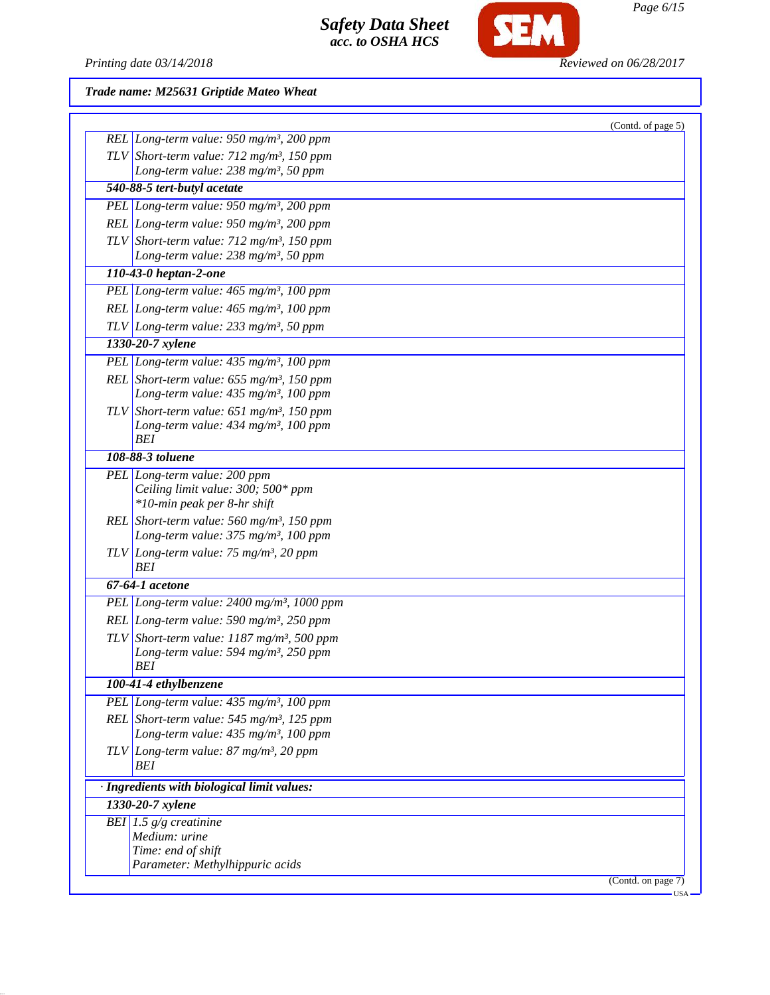

*Printing date 03/14/2018 Reviewed on 06/28/2017*

|                                                                                                         | (Contd. of page 5)          |
|---------------------------------------------------------------------------------------------------------|-----------------------------|
| REL Long-term value: $950$ mg/m <sup>3</sup> , 200 ppm                                                  |                             |
| TLV Short-term value: $712 \text{ mg/m}^3$ , 150 ppm<br>Long-term value: 238 mg/m <sup>3</sup> , 50 ppm |                             |
| 540-88-5 tert-butyl acetate                                                                             |                             |
| PEL Long-term value: $950$ mg/m <sup>3</sup> , 200 ppm                                                  |                             |
| REL Long-term value: $950$ mg/m <sup>3</sup> , 200 ppm                                                  |                             |
| TLV Short-term value: $712 \text{ mg/m}^3$ , 150 ppm                                                    |                             |
| Long-term value: 238 mg/m <sup>3</sup> , 50 ppm                                                         |                             |
| 110-43-0 heptan-2-one                                                                                   |                             |
| PEL Long-term value: 465 mg/m <sup>3</sup> , 100 ppm                                                    |                             |
| REL Long-term value: $465$ mg/m <sup>3</sup> , 100 ppm                                                  |                             |
| $TLV$ Long-term value: 233 mg/m <sup>3</sup> , 50 ppm                                                   |                             |
| 1330-20-7 xylene                                                                                        |                             |
| PEL Long-term value: $435 \text{ mg/m}^3$ , 100 ppm                                                     |                             |
| REL Short-term value: $655$ mg/m <sup>3</sup> , 150 ppm                                                 |                             |
| Long-term value: 435 mg/m <sup>3</sup> , 100 ppm                                                        |                             |
| TLV Short-term value: $651$ mg/m <sup>3</sup> , 150 ppm                                                 |                             |
| Long-term value: $434$ mg/m <sup>3</sup> , 100 ppm                                                      |                             |
| BEI                                                                                                     |                             |
| 108-88-3 toluene                                                                                        |                             |
| PEL Long-term value: 200 ppm                                                                            |                             |
| Ceiling limit value: 300; 500* ppm                                                                      |                             |
| *10-min peak per 8-hr shift                                                                             |                             |
| REL Short-term value: $560$ mg/m <sup>3</sup> , 150 ppm                                                 |                             |
| Long-term value: $375 \text{ mg/m}^3$ , 100 ppm                                                         |                             |
| $TLV$ Long-term value: 75 mg/m <sup>3</sup> , 20 ppm<br>BEI                                             |                             |
| 67-64-1 acetone                                                                                         |                             |
| PEL Long-term value: $2400$ mg/m <sup>3</sup> , 1000 ppm                                                |                             |
| REL Long-term value: $590$ mg/m <sup>3</sup> , 250 ppm                                                  |                             |
| TLV Short-term value: $1187$ mg/m <sup>3</sup> , 500 ppm                                                |                             |
| Long-term value: 594 mg/m <sup>3</sup> , 250 ppm                                                        |                             |
| BEI                                                                                                     |                             |
| 100-41-4 ethylbenzene                                                                                   |                             |
| PEL Long-term value: 435 mg/m <sup>3</sup> , 100 ppm                                                    |                             |
| REL Short-term value: $545$ mg/m <sup>3</sup> , 125 ppm                                                 |                             |
| Long-term value: 435 mg/m <sup>3</sup> , 100 ppm                                                        |                             |
| $TLV$ Long-term value: 87 mg/m <sup>3</sup> , 20 ppm                                                    |                             |
| BEI                                                                                                     |                             |
| · Ingredients with biological limit values:                                                             |                             |
| 1330-20-7 xylene                                                                                        |                             |
| BEI 1.5 $g/g$ creatinine                                                                                |                             |
| Medium: urine                                                                                           |                             |
| Time: end of shift                                                                                      |                             |
| Parameter: Methylhippuric acids                                                                         |                             |
|                                                                                                         | (Contd. on page 7)<br>- USA |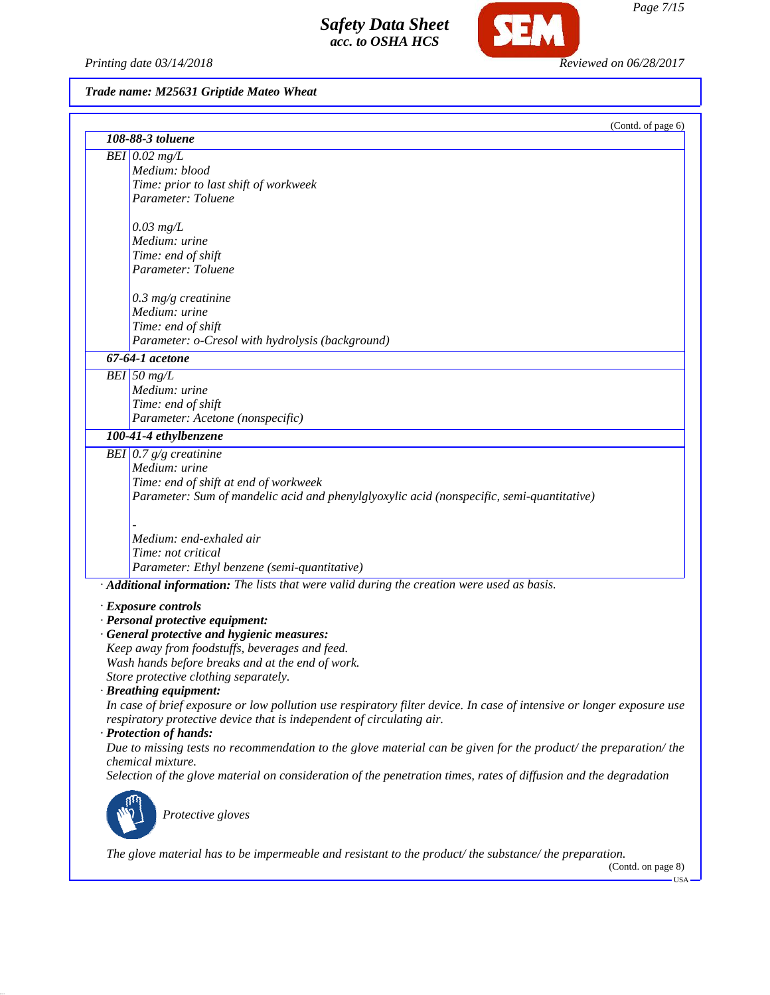*Printing date 03/14/2018 Reviewed on 06/28/2017*

SEM

|                                                                                                                       | (Contd. of page 6) |
|-----------------------------------------------------------------------------------------------------------------------|--------------------|
| 108-88-3 toluene                                                                                                      |                    |
| $BEI$ 0.02 mg/L                                                                                                       |                    |
| Medium: blood                                                                                                         |                    |
| Time: prior to last shift of workweek                                                                                 |                    |
| Parameter: Toluene                                                                                                    |                    |
|                                                                                                                       |                    |
| $0.03$ mg/L                                                                                                           |                    |
| Medium: urine                                                                                                         |                    |
| Time: end of shift                                                                                                    |                    |
| Parameter: Toluene                                                                                                    |                    |
|                                                                                                                       |                    |
| $0.3$ mg/g creatinine                                                                                                 |                    |
| Medium: urine                                                                                                         |                    |
| Time: end of shift                                                                                                    |                    |
| Parameter: o-Cresol with hydrolysis (background)                                                                      |                    |
| 67-64-1 acetone                                                                                                       |                    |
| $BEI$ 50 mg/L                                                                                                         |                    |
| Medium: urine                                                                                                         |                    |
| Time: end of shift                                                                                                    |                    |
| Parameter: Acetone (nonspecific)                                                                                      |                    |
| 100-41-4 ethylbenzene                                                                                                 |                    |
| BEI 0.7 $g/g$ creatinine                                                                                              |                    |
| Medium: urine                                                                                                         |                    |
| Time: end of shift at end of workweek                                                                                 |                    |
| Parameter: Sum of mandelic acid and phenylglyoxylic acid (nonspecific, semi-quantitative)                             |                    |
|                                                                                                                       |                    |
|                                                                                                                       |                    |
| Medium: end-exhaled air                                                                                               |                    |
| Time: not critical                                                                                                    |                    |
| Parameter: Ethyl benzene (semi-quantitative)                                                                          |                    |
| · Additional information: The lists that were valid during the creation were used as basis.                           |                    |
| $\cdot$ Exposure controls                                                                                             |                    |
| · Personal protective equipment:                                                                                      |                    |
| · General protective and hygienic measures:                                                                           |                    |
| Keep away from foodstuffs, beverages and feed.                                                                        |                    |
| Wash hands before breaks and at the end of work.                                                                      |                    |
| Store protective clothing separately.                                                                                 |                    |
| · Breathing equipment:                                                                                                |                    |
| In case of brief exposure or low pollution use respiratory filter device. In case of intensive or longer exposure use |                    |
| respiratory protective device that is independent of circulating air.                                                 |                    |
| · Protection of hands:                                                                                                |                    |
| Due to missing tests no recommendation to the glove material can be given for the product/ the preparation/ the       |                    |
| chemical mixture.                                                                                                     |                    |
| Selection of the glove material on consideration of the penetration times, rates of diffusion and the degradation     |                    |
|                                                                                                                       |                    |
| Protective gloves                                                                                                     |                    |
|                                                                                                                       |                    |
|                                                                                                                       |                    |
| The glove material has to be impermeable and resistant to the product/the substance/the preparation.                  | (Contd. on page 8) |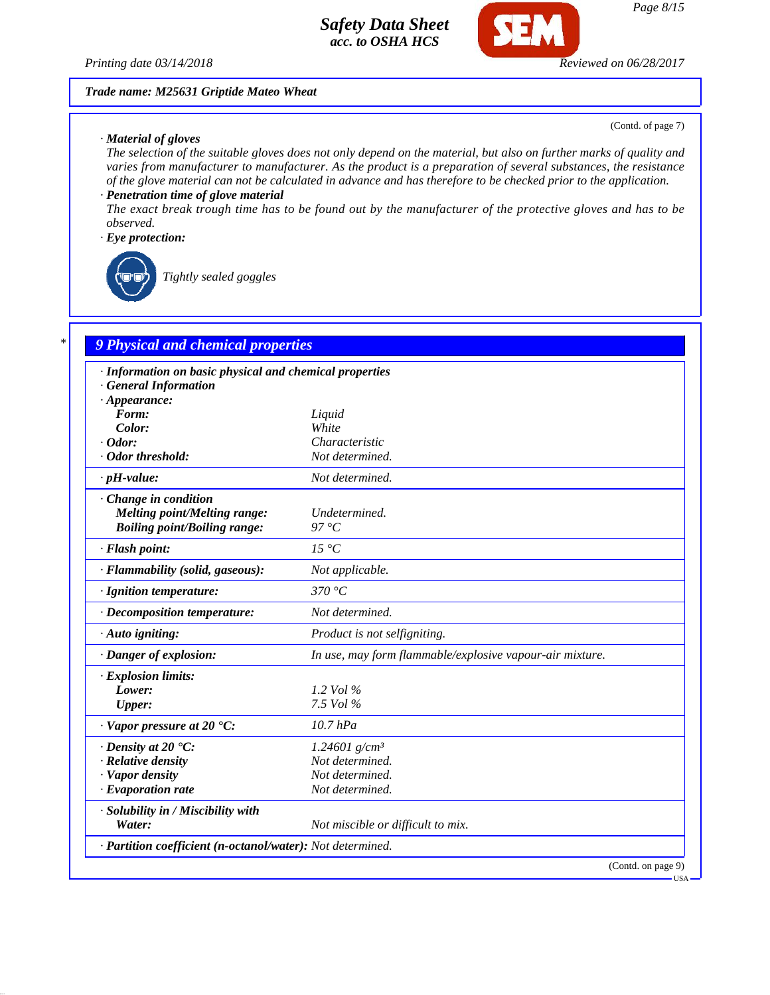*Printing date 03/14/2018 Reviewed on 06/28/2017*

#### *Trade name: M25631 Griptide Mateo Wheat*

*· Material of gloves*

(Contd. of page 7)

*The selection of the suitable gloves does not only depend on the material, but also on further marks of quality and varies from manufacturer to manufacturer. As the product is a preparation of several substances, the resistance of the glove material can not be calculated in advance and has therefore to be checked prior to the application.*

## *· Penetration time of glove material*

*The exact break trough time has to be found out by the manufacturer of the protective gloves and has to be observed.*

### *· Eye protection:*



*Tightly sealed goggles*

## *\* 9 Physical and chemical properties*

| · Information on basic physical and chemical properties    |                                                          |
|------------------------------------------------------------|----------------------------------------------------------|
| <b>General Information</b>                                 |                                                          |
| $\cdot$ Appearance:                                        |                                                          |
| Form:                                                      | Liquid<br>White                                          |
| Color:<br>$\cdot$ Odor:                                    | Characteristic                                           |
| · Odor threshold:                                          | Not determined.                                          |
|                                                            |                                                          |
| $\cdot$ pH-value:                                          | Not determined.                                          |
| Change in condition                                        |                                                          |
| Melting point/Melting range:                               | Undetermined.                                            |
| <b>Boiling point/Boiling range:</b>                        | 97 °C                                                    |
| · Flash point:                                             | $15\,^{\circ}C$                                          |
| · Flammability (solid, gaseous):                           | Not applicable.                                          |
| · Ignition temperature:                                    | 370 °C                                                   |
| · Decomposition temperature:                               | Not determined.                                          |
| $\cdot$ Auto igniting:                                     | Product is not selfigniting.                             |
| · Danger of explosion:                                     | In use, may form flammable/explosive vapour-air mixture. |
| · Explosion limits:                                        |                                                          |
| Lower:                                                     | 1.2 Vol $\%$                                             |
| Upper:                                                     | 7.5 Vol %                                                |
| $\cdot$ Vapor pressure at 20 $\textdegree$ C:              | $10.7$ hPa                                               |
| $\cdot$ Density at 20 $\textdegree$ C:                     | 1.24601 g/cm <sup>3</sup>                                |
| · Relative density                                         | Not determined.                                          |
| · Vapor density                                            | Not determined.                                          |
| · Evaporation rate                                         | Not determined.                                          |
| · Solubility in / Miscibility with                         |                                                          |
| Water:                                                     | Not miscible or difficult to mix.                        |
| · Partition coefficient (n-octanol/water): Not determined. |                                                          |
|                                                            | (Contd. on page 9)                                       |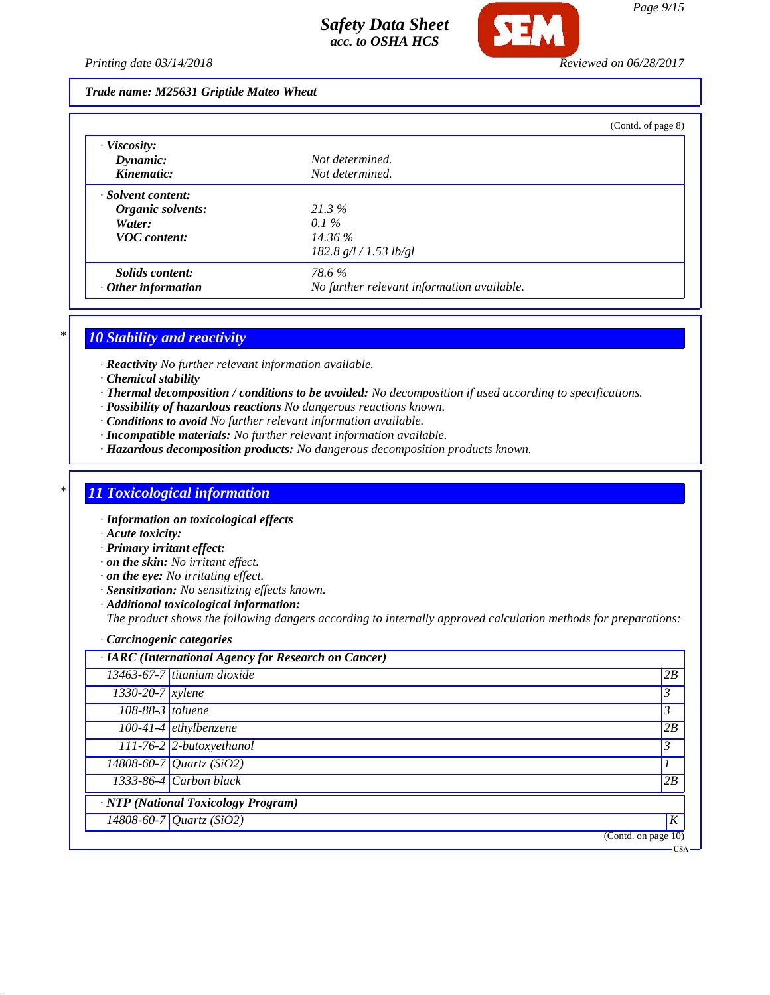

*Printing date 03/14/2018 Reviewed on 06/28/2017*

### *Trade name: M25631 Griptide Mateo Wheat*

|                           |                                            | (Contd. of page 8) |
|---------------------------|--------------------------------------------|--------------------|
| $\cdot$ Viscosity:        |                                            |                    |
| Dynamic:                  | Not determined.                            |                    |
| Kinematic:                | Not determined.                            |                    |
| · Solvent content:        |                                            |                    |
| Organic solvents:         | 21.3%                                      |                    |
| Water:                    | $0.1\%$                                    |                    |
| <b>VOC</b> content:       | 14.36 %                                    |                    |
|                           | 182.8 g/l / 1.53 lb/gl                     |                    |
| Solids content:           | 78.6 %                                     |                    |
| $\cdot$ Other information | No further relevant information available. |                    |

## *\* 10 Stability and reactivity*

*· Reactivity No further relevant information available.*

- *· Chemical stability*
- *· Thermal decomposition / conditions to be avoided: No decomposition if used according to specifications.*
- *· Possibility of hazardous reactions No dangerous reactions known.*
- *· Conditions to avoid No further relevant information available.*
- *· Incompatible materials: No further relevant information available.*
- *· Hazardous decomposition products: No dangerous decomposition products known.*

## *\* 11 Toxicological information*

- *· Information on toxicological effects*
- *· Acute toxicity:*
- *· Primary irritant effect:*
- *· on the skin: No irritant effect.*
- *· on the eye: No irritating effect.*
- *· Sensitization: No sensitizing effects known.*
- *· Additional toxicological information:*

*The product shows the following dangers according to internally approved calculation methods for preparations:*

*· Carcinogenic categories*

|                    | · IARC (International Agency for Research on Cancer) |                |
|--------------------|------------------------------------------------------|----------------|
|                    | 13463-67-7 titanium dioxide                          | 2B             |
| $1330-20-7$ xylene |                                                      | $\mathfrak{Z}$ |
| 108-88-3 toluene   |                                                      | $\mathcal{Z}$  |
|                    | $\overline{100-41-4}$ ethylbenzene                   | 2B             |
|                    | $111-76-2$ 2-butoxyethanol                           | $\mathfrak{Z}$ |
|                    | $14808 - 60 - 7$ Quartz (SiO2)                       | 1              |
|                    | $1333-86-4$ Carbon black                             | 2B             |
|                    | <b>NTP</b> (National Toxicology Program)             |                |
|                    | 14808-60-7 Quartz (SiO2)                             | K              |
|                    | (Contd. on page 10)                                  |                |
|                    |                                                      | <b>USA</b>     |

*Page 9/15*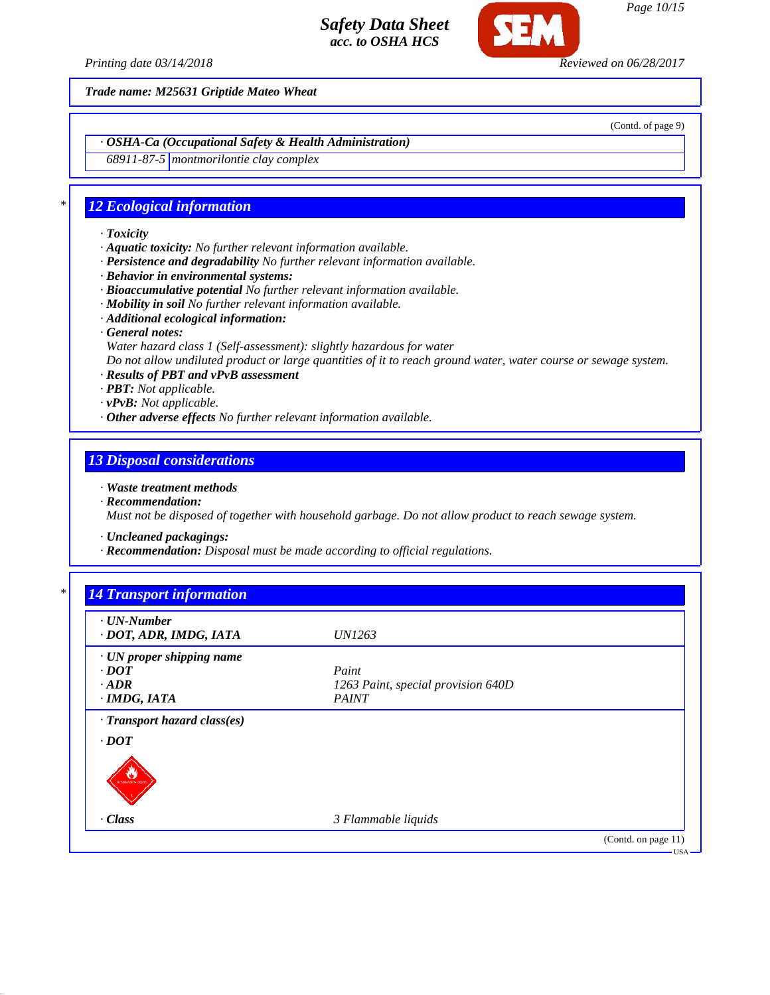

*Printing date 03/14/2018 Reviewed on 06/28/2017*

*Trade name: M25631 Griptide Mateo Wheat*

(Contd. of page 9)

*· OSHA-Ca (Occupational Safety & Health Administration)*

*68911-87-5 montmorilontie clay complex*

## *\* 12 Ecological information*

- *· Toxicity*
- *· Aquatic toxicity: No further relevant information available.*
- *· Persistence and degradability No further relevant information available.*
- *· Behavior in environmental systems:*
- *· Bioaccumulative potential No further relevant information available.*
- *· Mobility in soil No further relevant information available.*
- *· Additional ecological information:*
- *· General notes:*
- *Water hazard class 1 (Self-assessment): slightly hazardous for water*

*Do not allow undiluted product or large quantities of it to reach ground water, water course or sewage system.*

- *· Results of PBT and vPvB assessment*
- *· PBT: Not applicable.*
- *· vPvB: Not applicable.*
- *· Other adverse effects No further relevant information available.*

### *13 Disposal considerations*

- *· Waste treatment methods*
- *· Recommendation:*

*Must not be disposed of together with household garbage. Do not allow product to reach sewage system.*

- *· Uncleaned packagings:*
- *· Recommendation: Disposal must be made according to official regulations.*

| $\cdot$ UN-Number<br>· DOT, ADR, IMDG, IATA | <i>UN1263</i>                      |  |
|---------------------------------------------|------------------------------------|--|
| · UN proper shipping name                   |                                    |  |
| $\cdot$ DOT                                 | Paint                              |  |
| $-ADR$                                      | 1263 Paint, special provision 640D |  |
| $\cdot$ IMDG, IATA                          | <b>PAINT</b>                       |  |
| · Transport hazard class(es)                |                                    |  |
| $\cdot$ DOT                                 |                                    |  |
| w<br><b>MAMSES 10010</b>                    |                                    |  |
|                                             |                                    |  |
| $\cdot$ Class                               | 3 Flammable liquids                |  |

*Page 10/15*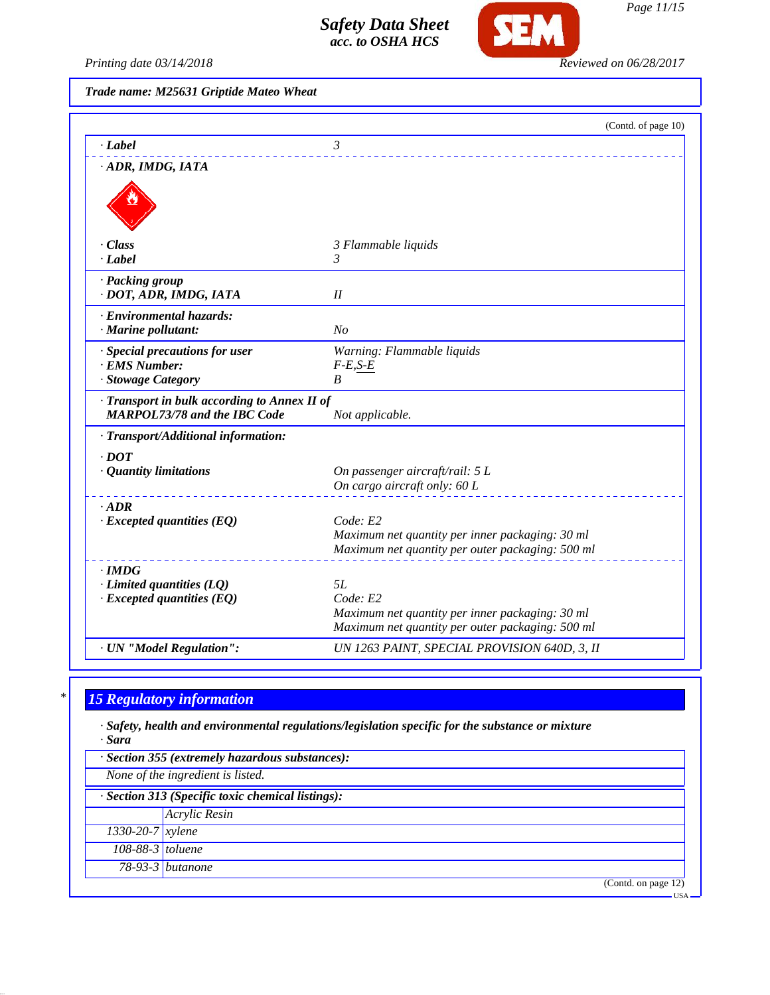

*Page 11/15*

*Printing date 03/14/2018 Reviewed on 06/28/2017*

*Trade name: M25631 Griptide Mateo Wheat*

|                                                                                     | (Contd. of page 10)                                         |
|-------------------------------------------------------------------------------------|-------------------------------------------------------------|
| · Label                                                                             | $\mathfrak{Z}$                                              |
| · ADR, IMDG, IATA                                                                   |                                                             |
|                                                                                     |                                                             |
| · Class                                                                             | 3 Flammable liquids                                         |
| $-Label$                                                                            | 3                                                           |
| · Packing group<br>· DOT, ADR, IMDG, IATA                                           | II                                                          |
| · Environmental hazards:                                                            |                                                             |
| · Marine pollutant:                                                                 | No                                                          |
| · Special precautions for user                                                      | Warning: Flammable liquids                                  |
| <b>EMS Number:</b>                                                                  | $F-E,S-E$                                                   |
| · Stowage Category                                                                  | B                                                           |
| · Transport in bulk according to Annex II of<br><b>MARPOL73/78 and the IBC Code</b> | Not applicable.                                             |
| · Transport/Additional information:                                                 |                                                             |
| $\cdot$ <i>DOT</i>                                                                  |                                                             |
| · Quantity limitations                                                              | On passenger aircraft/rail: 5 L                             |
|                                                                                     | On cargo aircraft only: 60 L                                |
| $\cdot$ ADR                                                                         |                                                             |
| $\cdot$ Excepted quantities (EQ)                                                    | Code: E2                                                    |
|                                                                                     | Maximum net quantity per inner packaging: 30 ml             |
|                                                                                     | Maximum net quantity per outer packaging: 500 ml            |
| · IMDG                                                                              |                                                             |
| $\cdot$ Limited quantities (LQ)                                                     | 5L                                                          |
| $\cdot$ Excepted quantities (EQ)                                                    | Code: E2<br>Maximum net quantity per inner packaging: 30 ml |
|                                                                                     | Maximum net quantity per outer packaging: 500 ml            |
| · UN "Model Regulation":                                                            | UN 1263 PAINT, SPECIAL PROVISION 640D, 3, II                |

# *\* 15 Regulatory information*

*· Safety, health and environmental regulations/legislation specific for the substance or mixture · Sara*

| · Section 355 (extremely hazardous substances):   |                      |  |
|---------------------------------------------------|----------------------|--|
| None of the ingredient is listed.                 |                      |  |
| · Section 313 (Specific toxic chemical listings): |                      |  |
|                                                   | <b>Acrylic Resin</b> |  |
| $1330 - 20 - 7$ <i>xylene</i>                     |                      |  |
| 108-88-3 toluene                                  |                      |  |
|                                                   | 78-93-3 butanone     |  |
|                                                   | (Contd. on page 12)  |  |
|                                                   | <b>USA</b>           |  |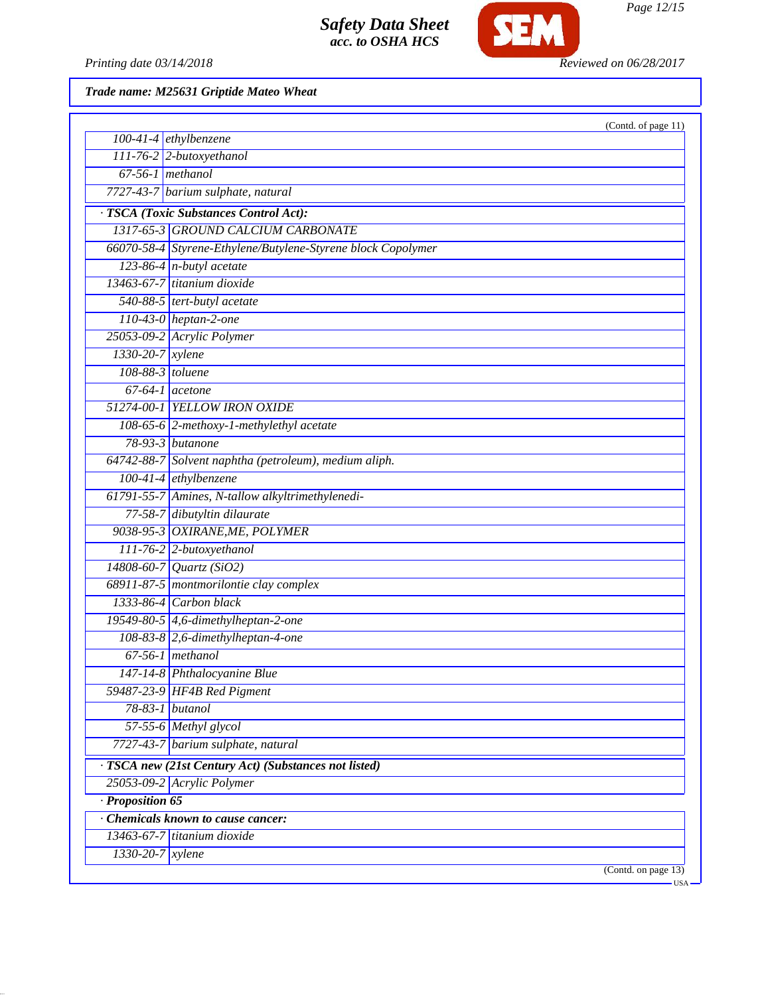

*Page 12/15*

Printing date 03/14/2018 **Reviewed on 06/28/2017** 

| $100-41-4$ ethylbenzene<br>111-76-2 2-butoxyethanol<br>$67-56-1$ methanol<br>7727-43-7 barium sulphate, natural<br>· TSCA (Toxic Substances Control Act):<br>1317-65-3 GROUND CALCIUM CARBONATE<br>66070-58-4 Styrene-Ethylene/Butylene-Styrene block Copolymer<br>$123-86-4$ n-butyl acetate<br>13463-67-7 titanium dioxide<br>540-88-5 tert-butyl acetate<br>110-43-0 heptan-2-one<br>25053-09-2 Acrylic Polymer<br>1330-20-7 xylene<br>108-88-3 toluene<br>$67-64-1$ acetone<br>51274-00-1 YELLOW IRON OXIDE<br>108-65-6 2-methoxy-1-methylethyl acetate<br>78-93-3 butanone<br>64742-88-7 Solvent naphtha (petroleum), medium aliph.<br>100-41-4 ethylbenzene<br>61791-55-7 Amines, N-tallow alkyltrimethylenedi-<br>77-58-7 dibutyltin dilaurate<br>9038-95-3 OXIRANE, ME, POLYMER<br>111-76-2 2-butoxyethanol<br>$14808 - 60 - 7$ <i>Quartz</i> (SiO2)<br>68911-87-5 montmorilontie clay complex<br>1333-86-4 Carbon black<br>19549-80-5 4,6-dimethylheptan-2-one<br>$108-83-8$ 2,6-dimethylheptan-4-one<br>$67-56-1$ methanol<br>147-14-8 Phthalocyanine Blue<br>59487-23-9 HF4B Red Pigment<br>$78 - 83 - 1$<br>butanol<br>57-55-6 Methyl glycol<br>7727-43-7 barium sulphate, natural<br>· TSCA new (21st Century Act) (Substances not listed)<br>25053-09-2 Acrylic Polymer<br>Proposition 65<br>Chemicals known to cause cancer:<br>13463-67-7 titanium dioxide<br>1330-20-7 xylene |  | (Contd. of page 11) |  |
|------------------------------------------------------------------------------------------------------------------------------------------------------------------------------------------------------------------------------------------------------------------------------------------------------------------------------------------------------------------------------------------------------------------------------------------------------------------------------------------------------------------------------------------------------------------------------------------------------------------------------------------------------------------------------------------------------------------------------------------------------------------------------------------------------------------------------------------------------------------------------------------------------------------------------------------------------------------------------------------------------------------------------------------------------------------------------------------------------------------------------------------------------------------------------------------------------------------------------------------------------------------------------------------------------------------------------------------------------------------------------------------------|--|---------------------|--|
|                                                                                                                                                                                                                                                                                                                                                                                                                                                                                                                                                                                                                                                                                                                                                                                                                                                                                                                                                                                                                                                                                                                                                                                                                                                                                                                                                                                                |  |                     |  |
|                                                                                                                                                                                                                                                                                                                                                                                                                                                                                                                                                                                                                                                                                                                                                                                                                                                                                                                                                                                                                                                                                                                                                                                                                                                                                                                                                                                                |  |                     |  |
|                                                                                                                                                                                                                                                                                                                                                                                                                                                                                                                                                                                                                                                                                                                                                                                                                                                                                                                                                                                                                                                                                                                                                                                                                                                                                                                                                                                                |  |                     |  |
|                                                                                                                                                                                                                                                                                                                                                                                                                                                                                                                                                                                                                                                                                                                                                                                                                                                                                                                                                                                                                                                                                                                                                                                                                                                                                                                                                                                                |  |                     |  |
|                                                                                                                                                                                                                                                                                                                                                                                                                                                                                                                                                                                                                                                                                                                                                                                                                                                                                                                                                                                                                                                                                                                                                                                                                                                                                                                                                                                                |  |                     |  |
|                                                                                                                                                                                                                                                                                                                                                                                                                                                                                                                                                                                                                                                                                                                                                                                                                                                                                                                                                                                                                                                                                                                                                                                                                                                                                                                                                                                                |  |                     |  |
|                                                                                                                                                                                                                                                                                                                                                                                                                                                                                                                                                                                                                                                                                                                                                                                                                                                                                                                                                                                                                                                                                                                                                                                                                                                                                                                                                                                                |  |                     |  |
|                                                                                                                                                                                                                                                                                                                                                                                                                                                                                                                                                                                                                                                                                                                                                                                                                                                                                                                                                                                                                                                                                                                                                                                                                                                                                                                                                                                                |  |                     |  |
|                                                                                                                                                                                                                                                                                                                                                                                                                                                                                                                                                                                                                                                                                                                                                                                                                                                                                                                                                                                                                                                                                                                                                                                                                                                                                                                                                                                                |  |                     |  |
|                                                                                                                                                                                                                                                                                                                                                                                                                                                                                                                                                                                                                                                                                                                                                                                                                                                                                                                                                                                                                                                                                                                                                                                                                                                                                                                                                                                                |  |                     |  |
|                                                                                                                                                                                                                                                                                                                                                                                                                                                                                                                                                                                                                                                                                                                                                                                                                                                                                                                                                                                                                                                                                                                                                                                                                                                                                                                                                                                                |  |                     |  |
|                                                                                                                                                                                                                                                                                                                                                                                                                                                                                                                                                                                                                                                                                                                                                                                                                                                                                                                                                                                                                                                                                                                                                                                                                                                                                                                                                                                                |  |                     |  |
|                                                                                                                                                                                                                                                                                                                                                                                                                                                                                                                                                                                                                                                                                                                                                                                                                                                                                                                                                                                                                                                                                                                                                                                                                                                                                                                                                                                                |  |                     |  |
|                                                                                                                                                                                                                                                                                                                                                                                                                                                                                                                                                                                                                                                                                                                                                                                                                                                                                                                                                                                                                                                                                                                                                                                                                                                                                                                                                                                                |  |                     |  |
|                                                                                                                                                                                                                                                                                                                                                                                                                                                                                                                                                                                                                                                                                                                                                                                                                                                                                                                                                                                                                                                                                                                                                                                                                                                                                                                                                                                                |  |                     |  |
|                                                                                                                                                                                                                                                                                                                                                                                                                                                                                                                                                                                                                                                                                                                                                                                                                                                                                                                                                                                                                                                                                                                                                                                                                                                                                                                                                                                                |  |                     |  |
|                                                                                                                                                                                                                                                                                                                                                                                                                                                                                                                                                                                                                                                                                                                                                                                                                                                                                                                                                                                                                                                                                                                                                                                                                                                                                                                                                                                                |  |                     |  |
|                                                                                                                                                                                                                                                                                                                                                                                                                                                                                                                                                                                                                                                                                                                                                                                                                                                                                                                                                                                                                                                                                                                                                                                                                                                                                                                                                                                                |  |                     |  |
|                                                                                                                                                                                                                                                                                                                                                                                                                                                                                                                                                                                                                                                                                                                                                                                                                                                                                                                                                                                                                                                                                                                                                                                                                                                                                                                                                                                                |  |                     |  |
|                                                                                                                                                                                                                                                                                                                                                                                                                                                                                                                                                                                                                                                                                                                                                                                                                                                                                                                                                                                                                                                                                                                                                                                                                                                                                                                                                                                                |  |                     |  |
|                                                                                                                                                                                                                                                                                                                                                                                                                                                                                                                                                                                                                                                                                                                                                                                                                                                                                                                                                                                                                                                                                                                                                                                                                                                                                                                                                                                                |  |                     |  |
|                                                                                                                                                                                                                                                                                                                                                                                                                                                                                                                                                                                                                                                                                                                                                                                                                                                                                                                                                                                                                                                                                                                                                                                                                                                                                                                                                                                                |  |                     |  |
|                                                                                                                                                                                                                                                                                                                                                                                                                                                                                                                                                                                                                                                                                                                                                                                                                                                                                                                                                                                                                                                                                                                                                                                                                                                                                                                                                                                                |  |                     |  |
|                                                                                                                                                                                                                                                                                                                                                                                                                                                                                                                                                                                                                                                                                                                                                                                                                                                                                                                                                                                                                                                                                                                                                                                                                                                                                                                                                                                                |  |                     |  |
|                                                                                                                                                                                                                                                                                                                                                                                                                                                                                                                                                                                                                                                                                                                                                                                                                                                                                                                                                                                                                                                                                                                                                                                                                                                                                                                                                                                                |  |                     |  |
|                                                                                                                                                                                                                                                                                                                                                                                                                                                                                                                                                                                                                                                                                                                                                                                                                                                                                                                                                                                                                                                                                                                                                                                                                                                                                                                                                                                                |  |                     |  |
|                                                                                                                                                                                                                                                                                                                                                                                                                                                                                                                                                                                                                                                                                                                                                                                                                                                                                                                                                                                                                                                                                                                                                                                                                                                                                                                                                                                                |  |                     |  |
|                                                                                                                                                                                                                                                                                                                                                                                                                                                                                                                                                                                                                                                                                                                                                                                                                                                                                                                                                                                                                                                                                                                                                                                                                                                                                                                                                                                                |  |                     |  |
|                                                                                                                                                                                                                                                                                                                                                                                                                                                                                                                                                                                                                                                                                                                                                                                                                                                                                                                                                                                                                                                                                                                                                                                                                                                                                                                                                                                                |  |                     |  |
|                                                                                                                                                                                                                                                                                                                                                                                                                                                                                                                                                                                                                                                                                                                                                                                                                                                                                                                                                                                                                                                                                                                                                                                                                                                                                                                                                                                                |  |                     |  |
|                                                                                                                                                                                                                                                                                                                                                                                                                                                                                                                                                                                                                                                                                                                                                                                                                                                                                                                                                                                                                                                                                                                                                                                                                                                                                                                                                                                                |  |                     |  |
|                                                                                                                                                                                                                                                                                                                                                                                                                                                                                                                                                                                                                                                                                                                                                                                                                                                                                                                                                                                                                                                                                                                                                                                                                                                                                                                                                                                                |  |                     |  |
|                                                                                                                                                                                                                                                                                                                                                                                                                                                                                                                                                                                                                                                                                                                                                                                                                                                                                                                                                                                                                                                                                                                                                                                                                                                                                                                                                                                                |  |                     |  |
|                                                                                                                                                                                                                                                                                                                                                                                                                                                                                                                                                                                                                                                                                                                                                                                                                                                                                                                                                                                                                                                                                                                                                                                                                                                                                                                                                                                                |  |                     |  |
|                                                                                                                                                                                                                                                                                                                                                                                                                                                                                                                                                                                                                                                                                                                                                                                                                                                                                                                                                                                                                                                                                                                                                                                                                                                                                                                                                                                                |  |                     |  |
|                                                                                                                                                                                                                                                                                                                                                                                                                                                                                                                                                                                                                                                                                                                                                                                                                                                                                                                                                                                                                                                                                                                                                                                                                                                                                                                                                                                                |  |                     |  |
|                                                                                                                                                                                                                                                                                                                                                                                                                                                                                                                                                                                                                                                                                                                                                                                                                                                                                                                                                                                                                                                                                                                                                                                                                                                                                                                                                                                                |  |                     |  |
|                                                                                                                                                                                                                                                                                                                                                                                                                                                                                                                                                                                                                                                                                                                                                                                                                                                                                                                                                                                                                                                                                                                                                                                                                                                                                                                                                                                                |  |                     |  |
|                                                                                                                                                                                                                                                                                                                                                                                                                                                                                                                                                                                                                                                                                                                                                                                                                                                                                                                                                                                                                                                                                                                                                                                                                                                                                                                                                                                                |  |                     |  |
|                                                                                                                                                                                                                                                                                                                                                                                                                                                                                                                                                                                                                                                                                                                                                                                                                                                                                                                                                                                                                                                                                                                                                                                                                                                                                                                                                                                                |  |                     |  |
|                                                                                                                                                                                                                                                                                                                                                                                                                                                                                                                                                                                                                                                                                                                                                                                                                                                                                                                                                                                                                                                                                                                                                                                                                                                                                                                                                                                                |  |                     |  |
| (Contd. on page 13)<br>· USA                                                                                                                                                                                                                                                                                                                                                                                                                                                                                                                                                                                                                                                                                                                                                                                                                                                                                                                                                                                                                                                                                                                                                                                                                                                                                                                                                                   |  |                     |  |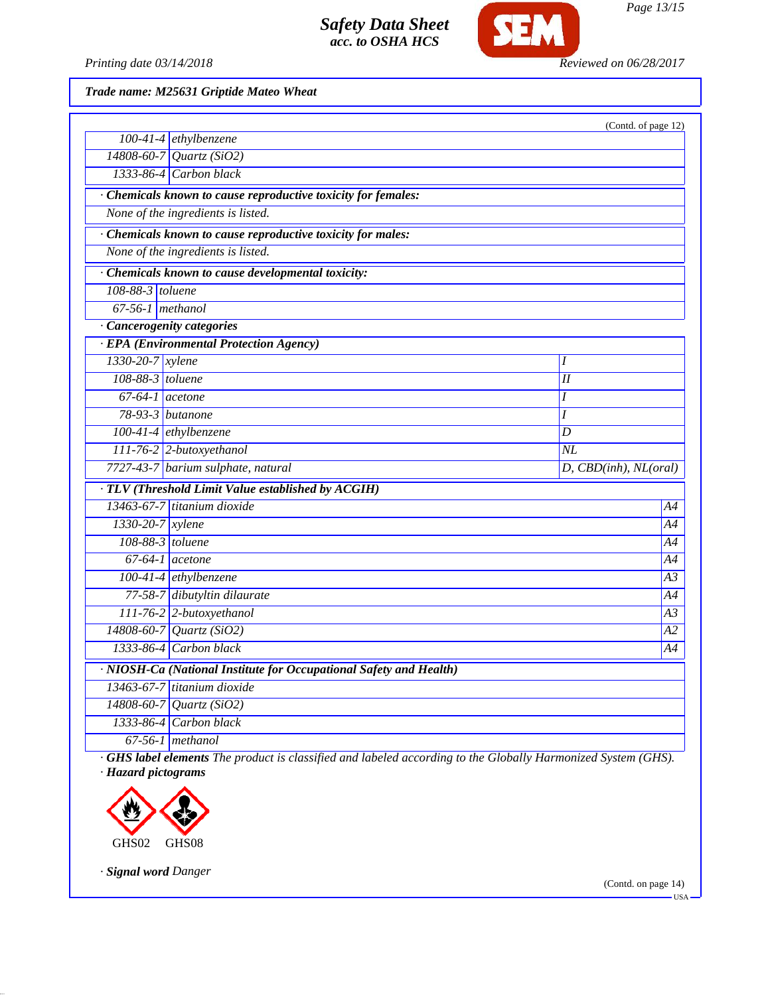

*Printing date 03/14/2018 Reviewed on 06/28/2017*

*Trade name: M25631 Griptide Mateo Wheat*

|                                    |                                                                                                             | (Contd. of page 12)     |  |  |
|------------------------------------|-------------------------------------------------------------------------------------------------------------|-------------------------|--|--|
|                                    | $100-41-4$ ethylbenzene                                                                                     |                         |  |  |
|                                    | $14808 - 60 - 7$ <i>Quartz</i> (SiO2)                                                                       |                         |  |  |
|                                    | 1333-86-4 Carbon black                                                                                      |                         |  |  |
|                                    | · Chemicals known to cause reproductive toxicity for females:                                               |                         |  |  |
|                                    | None of the ingredients is listed.                                                                          |                         |  |  |
|                                    | · Chemicals known to cause reproductive toxicity for males:                                                 |                         |  |  |
| None of the ingredients is listed. |                                                                                                             |                         |  |  |
|                                    | · Chemicals known to cause developmental toxicity:                                                          |                         |  |  |
| $108-88-3$ toluene                 |                                                                                                             |                         |  |  |
| $\boxed{67-56-1}$ methanol         |                                                                                                             |                         |  |  |
|                                    | · Cancerogenity categories                                                                                  |                         |  |  |
|                                    | · EPA (Environmental Protection Agency)                                                                     |                         |  |  |
| 1330-20-7 xylene                   |                                                                                                             | I                       |  |  |
| 108-88-3 toluene                   |                                                                                                             | I                       |  |  |
| $67-64-1$ acetone                  |                                                                                                             | Ι                       |  |  |
|                                    | $78-93-3$ butanone                                                                                          | I                       |  |  |
|                                    | 100-41-4 ethylbenzene                                                                                       | D                       |  |  |
|                                    | $111-76-2$ 2-butoxyethanol                                                                                  | $N\!L$                  |  |  |
|                                    | 7727-43-7 barium sulphate, natural                                                                          | $D,$ CBD(inh), NL(oral) |  |  |
|                                    | · TLV (Threshold Limit Value established by ACGIH)                                                          |                         |  |  |
|                                    | 13463-67-7 titanium dioxide                                                                                 | Α4                      |  |  |
| 1330-20-7 xylene                   |                                                                                                             | A4                      |  |  |
| $108-88-3$ toluene                 |                                                                                                             | A4                      |  |  |
|                                    | $67-64-1$ acetone                                                                                           | Α4                      |  |  |
|                                    | 100-41-4 ethylbenzene                                                                                       | A3                      |  |  |
|                                    | 77-58-7 dibutyltin dilaurate                                                                                | Α4                      |  |  |
|                                    | 111-76-2 2-butoxyethanol                                                                                    | A3                      |  |  |
|                                    | $14808 - 60 - 7$ <i>Quartz</i> (SiO2)                                                                       | А2                      |  |  |
|                                    | $1333-86-4$ Carbon black                                                                                    | Α4                      |  |  |
|                                    | · NIOSH-Ca (National Institute for Occupational Safety and Health)                                          |                         |  |  |
|                                    | 13463-67-7 titanium dioxide                                                                                 |                         |  |  |
|                                    | 14808-60-7 Quartz (SiO2)                                                                                    |                         |  |  |
|                                    | 1333-86-4 Carbon black                                                                                      |                         |  |  |
|                                    | $67-56-1$ methanol                                                                                          |                         |  |  |
|                                    | GHS label elements The product is classified and labeled according to the Globally Harmonized System (GHS). |                         |  |  |

*· Hazard pictograms*



*· Signal word Danger*

(Contd. on page 14)

 $-<sub>USA</sub>$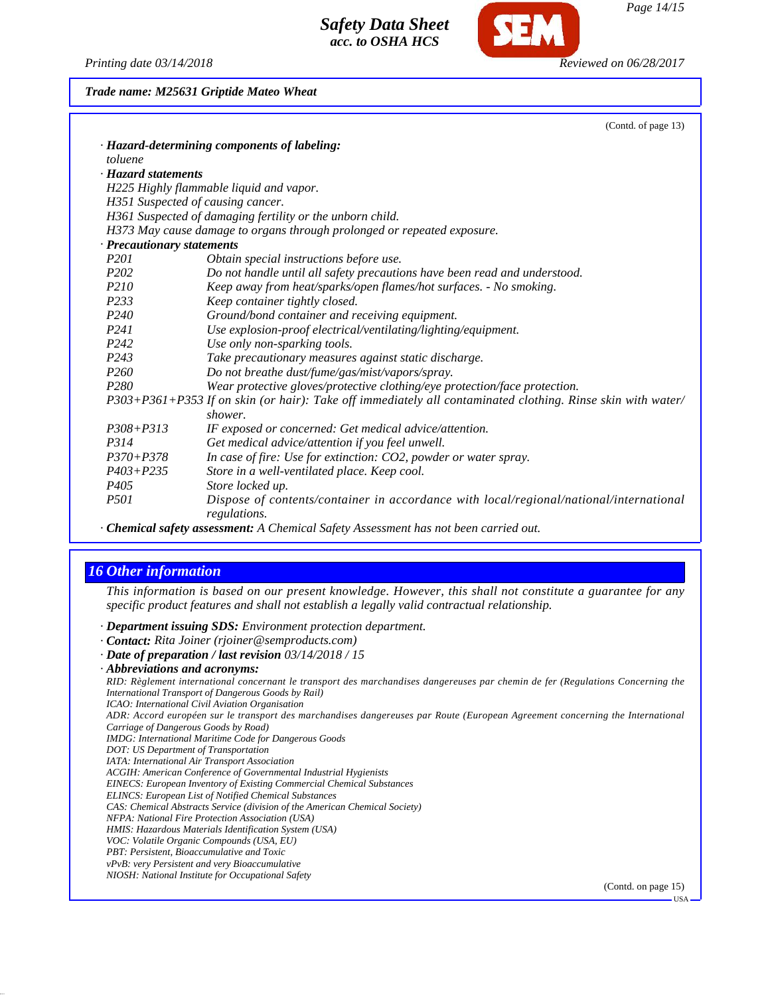*Printing date 03/14/2018 Reviewed on 06/28/2017*

#### *Trade name: M25631 Griptide Mateo Wheat*

|                            | (Contd. of page 13)                                                                                         |  |
|----------------------------|-------------------------------------------------------------------------------------------------------------|--|
|                            | · Hazard-determining components of labeling:                                                                |  |
| toluene                    |                                                                                                             |  |
| · Hazard statements        |                                                                                                             |  |
|                            | H225 Highly flammable liquid and vapor.                                                                     |  |
|                            | H351 Suspected of causing cancer.                                                                           |  |
|                            | H361 Suspected of damaging fertility or the unborn child.                                                   |  |
|                            | H373 May cause damage to organs through prolonged or repeated exposure.                                     |  |
| · Precautionary statements |                                                                                                             |  |
| P <sub>201</sub>           | Obtain special instructions before use.                                                                     |  |
| P <sub>202</sub>           | Do not handle until all safety precautions have been read and understood.                                   |  |
| <i>P210</i>                | Keep away from heat/sparks/open flames/hot surfaces. - No smoking.                                          |  |
| P <sub>233</sub>           | Keep container tightly closed.                                                                              |  |
| P <sub>240</sub>           | Ground/bond container and receiving equipment.                                                              |  |
| P <sub>24</sub> 1          | Use explosion-proof electrical/ventilating/lighting/equipment.                                              |  |
| P <sub>242</sub>           | Use only non-sparking tools.                                                                                |  |
| P <sub>243</sub>           | Take precautionary measures against static discharge.                                                       |  |
| P <sub>260</sub>           | Do not breathe dust/fume/gas/mist/vapors/spray.                                                             |  |
| P <sub>280</sub>           | Wear protective gloves/protective clothing/eye protection/face protection.                                  |  |
|                            | P303+P361+P353 If on skin (or hair): Take off immediately all contaminated clothing. Rinse skin with water/ |  |
|                            | shower.                                                                                                     |  |
| $P308 + P313$              | IF exposed or concerned: Get medical advice/attention.                                                      |  |
| P314                       | Get medical advice/attention if you feel unwell.                                                            |  |
| $P370 + P378$              | In case of fire: Use for extinction: CO2, powder or water spray.                                            |  |
| $P403 + P235$              | Store in a well-ventilated place. Keep cool.                                                                |  |
| P <sub>405</sub>           | Store locked up.                                                                                            |  |
| <i>P501</i>                | Dispose of contents/container in accordance with local/regional/national/international<br>regulations.      |  |

*· Chemical safety assessment: A Chemical Safety Assessment has not been carried out.*

## *16 Other information*

*This information is based on our present knowledge. However, this shall not constitute a guarantee for any specific product features and shall not establish a legally valid contractual relationship.*

*· Department issuing SDS: Environment protection department.*

- *· Contact: Rita Joiner (rjoiner@semproducts.com)*
- *· Date of preparation / last revision 03/14/2018 / 15*
- *· Abbreviations and acronyms:*

*RID: Règlement international concernant le transport des marchandises dangereuses par chemin de fer (Regulations Concerning the International Transport of Dangerous Goods by Rail)*

*ICAO: International Civil Aviation Organisation*

*ADR: Accord européen sur le transport des marchandises dangereuses par Route (European Agreement concerning the International Carriage of Dangerous Goods by Road)*

- *IMDG: International Maritime Code for Dangerous Goods*
- *DOT: US Department of Transportation*
- *IATA: International Air Transport Association*
- *ACGIH: American Conference of Governmental Industrial Hygienists*
- *EINECS: European Inventory of Existing Commercial Chemical Substances*
- *ELINCS: European List of Notified Chemical Substances*

*CAS: Chemical Abstracts Service (division of the American Chemical Society)*

*NFPA: National Fire Protection Association (USA)*

*HMIS: Hazardous Materials Identification System (USA)*

- *VOC: Volatile Organic Compounds (USA, EU)*
- *PBT: Persistent, Bioaccumulative and Toxic*

*vPvB: very Persistent and very Bioaccumulative NIOSH: National Institute for Occupational Safety*

(Contd. on page 15)

USA